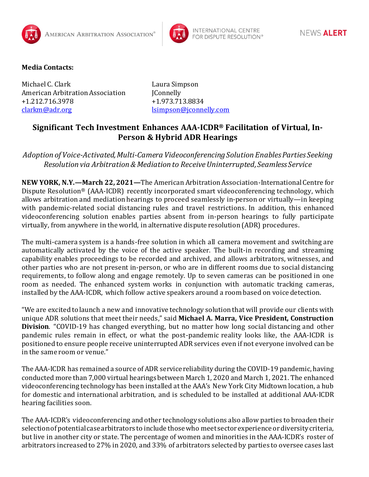



## **Media Contacts:**

Michael C. Clark Laura Simpson American Arbitration Association [Connelly +1.212.716.3978 +1.973.713.8834 [clarkm@adr.org](mailto:clarkm@adr.org) [lsimpson@jconnelly.com](mailto:lsimpson@jconnelly.com)

## **Significant Tech Investment Enhances AAA-ICDR® Facilitation of Virtual, In-Person & Hybrid ADR Hearings**

*Adoption of Voice-Activated, Multi-Camera Videoconferencing Solution Enables Parties Seeking Resolution via Arbitration & Mediation to Receive Uninterrupted, Seamless Service*

**NEW YORK, N.Y.—March 22, 2021—**The American Arbitration Association-International Centre for Dispute Resolution® (AAA-ICDR) recently incorporated smart videoconferencing technology, which allows arbitration and mediation hearings to proceed seamlessly in-person or virtually—in keeping with pandemic-related social distancing rules and travel restrictions. In addition, this enhanced videoconferencing solution enables parties absent from in-person hearings to fully participate virtually, from anywhere in the world, in alternative dispute resolution (ADR) procedures.

The multi-camera system is a hands-free solution in which all camera movement and switching are automatically activated by the voice of the active speaker. The built-in recording and streaming capability enables proceedings to be recorded and archived, and allows arbitrators, witnesses, and other parties who are not present in-person, or who are in different rooms due to social distancing requirements, to follow along and engage remotely. Up to seven cameras can be positioned in one room as needed. The enhanced system works in conjunction with automatic tracking cameras, installed by the AAA-ICDR, which follow active speakers around a room based on voice detection.

"We are excited to launch a new and innovative technology solution that will provide our clients with unique ADR solutions that meet their needs," said **Michael A. Marra, Vice President, Construction Division**. "COVID-19 has changed everything, but no matter how long social distancing and other pandemic rules remain in effect, or what the post-pandemic reality looks like, the AAA-ICDR is positioned to ensure people receive uninterrupted ADR services even if not everyone involved can be in the same room or venue."

The AAA-ICDR has remained a source of ADR service reliability during the COVID-19 pandemic, having conducted more than 7,000 virtual hearings between March 1, 2020 and March 1, 2021. The enhanced videoconferencing technology has been installed at the AAA's New York City Midtown location, a hub for domestic and international arbitration, and is scheduled to be installed at additional AAA-ICDR hearing facilities soon.

The AAA-ICDR's videoconferencing and other technology solutions also allow parties to broaden their selection of potential case arbitrators to include those who meet sector experience or diversity criteria, but live in another city or state. The percentage of women and minorities in the AAA-ICDR's roster of arbitrators increased to 27% in 2020, and 33% of arbitrators selected by parties to oversee cases last